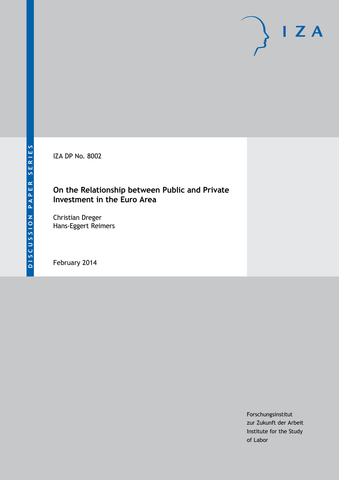IZA DP No. 8002

# **On the Relationship between Public and Private Investment in the Euro Area**

Christian Dreger Hans-Eggert Reimers

February 2014

Forschungsinstitut zur Zukunft der Arbeit Institute for the Study of Labor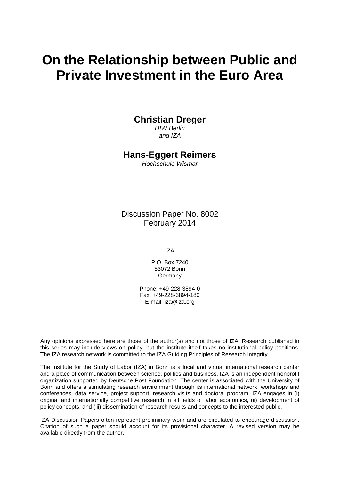# **On the Relationship between Public and Private Investment in the Euro Area**

**Christian Dreger**

*DIW Berlin and IZA*

## **Hans-Eggert Reimers**

*Hochschule Wismar*

Discussion Paper No. 8002 February 2014

IZA

P.O. Box 7240 53072 Bonn Germany

Phone: +49-228-3894-0 Fax: +49-228-3894-180 E-mail: [iza@iza.org](mailto:iza@iza.org)

Any opinions expressed here are those of the author(s) and not those of IZA. Research published in this series may include views on policy, but the institute itself takes no institutional policy positions. The IZA research network is committed to the IZA Guiding Principles of Research Integrity.

The Institute for the Study of Labor (IZA) in Bonn is a local and virtual international research center and a place of communication between science, politics and business. IZA is an independent nonprofit organization supported by Deutsche Post Foundation. The center is associated with the University of Bonn and offers a stimulating research environment through its international network, workshops and conferences, data service, project support, research visits and doctoral program. IZA engages in (i) original and internationally competitive research in all fields of labor economics, (ii) development of policy concepts, and (iii) dissemination of research results and concepts to the interested public.

IZA Discussion Papers often represent preliminary work and are circulated to encourage discussion. Citation of such a paper should account for its provisional character. A revised version may be available directly from the author.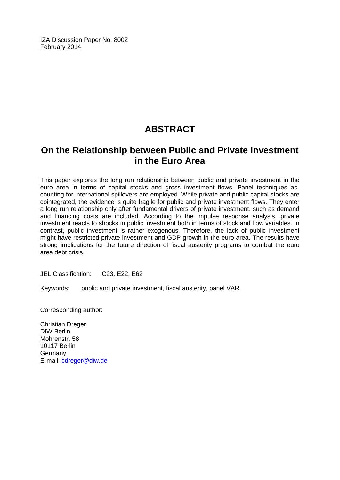IZA Discussion Paper No. 8002 February 2014

# **ABSTRACT**

# **On the Relationship between Public and Private Investment in the Euro Area**

This paper explores the long run relationship between public and private investment in the euro area in terms of capital stocks and gross investment flows. Panel techniques accounting for international spillovers are employed. While private and public capital stocks are cointegrated, the evidence is quite fragile for public and private investment flows. They enter a long run relationship only after fundamental drivers of private investment, such as demand and financing costs are included. According to the impulse response analysis, private investment reacts to shocks in public investment both in terms of stock and flow variables. In contrast, public investment is rather exogenous. Therefore, the lack of public investment might have restricted private investment and GDP growth in the euro area. The results have strong implications for the future direction of fiscal austerity programs to combat the euro area debt crisis.

JEL Classification: C23, E22, E62

Keywords: public and private investment, fiscal austerity, panel VAR

Corresponding author:

Christian Dreger DIW Berlin Mohrenstr. 58 10117 Berlin Germany E-mail: [cdreger@diw.de](mailto:cdreger@diw.de)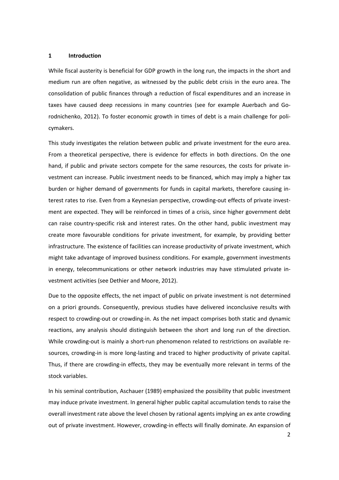#### **1 Introduction**

While fiscal austerity is beneficial for GDP growth in the long run, the impacts in the short and medium run are often negative, as witnessed by the public debt crisis in the euro area. The consolidation of public finances through a reduction of fiscal expenditures and an increase in taxes have caused deep recessions in many countries (see for example Auerbach and Gorodnichenko, 2012). To foster economic growth in times of debt is a main challenge for policymakers.

This study investigates the relation between public and private investment for the euro area. From a theoretical perspective, there is evidence for effects in both directions. On the one hand, if public and private sectors compete for the same resources, the costs for private investment can increase. Public investment needs to be financed, which may imply a higher tax burden or higher demand of governments for funds in capital markets, therefore causing interest rates to rise. Even from a Keynesian perspective, crowding-out effects of private investment are expected. They will be reinforced in times of a crisis, since higher government debt can raise country-specific risk and interest rates. On the other hand, public investment may create more favourable conditions for private investment, for example, by providing better infrastructure. The existence of facilities can increase productivity of private investment, which might take advantage of improved business conditions. For example, government investments in energy, telecommunications or other network industries may have stimulated private investment activities (see Dethier and Moore, 2012).

Due to the opposite effects, the net impact of public on private investment is not determined on a priori grounds. Consequently, previous studies have delivered inconclusive results with respect to crowding-out or crowding-in. As the net impact comprises both static and dynamic reactions, any analysis should distinguish between the short and long run of the direction. While crowding-out is mainly a short-run phenomenon related to restrictions on available resources, crowding-in is more long-lasting and traced to higher productivity of private capital. Thus, if there are crowding-in effects, they may be eventually more relevant in terms of the stock variables.

In his seminal contribution, Aschauer (1989) emphasized the possibility that public investment may induce private investment. In general higher public capital accumulation tends to raise the overall investment rate above the level chosen by rational agents implying an ex ante crowding out of private investment. However, crowding-in effects will finally dominate. An expansion of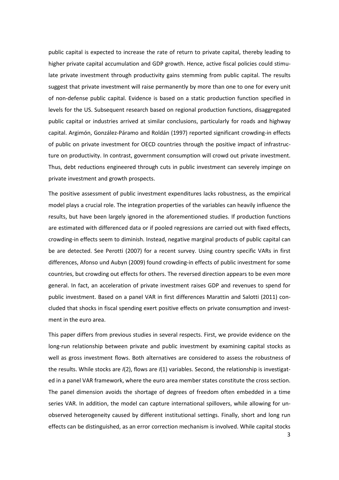public capital is expected to increase the rate of return to private capital, thereby leading to higher private capital accumulation and GDP growth. Hence, active fiscal policies could stimulate private investment through productivity gains stemming from public capital. The results suggest that private investment will raise permanently by more than one to one for every unit of non-defense public capital. Evidence is based on a static production function specified in levels for the US. Subsequent research based on regional production functions, disaggregated public capital or industries arrived at similar conclusions, particularly for roads and highway capital. Argimón, González-Páramo and Roldán (1997) reported significant crowding-in effects of public on private investment for OECD countries through the positive impact of infrastructure on productivity. In contrast, government consumption will crowd out private investment. Thus, debt reductions engineered through cuts in public investment can severely impinge on private investment and growth prospects.

The positive assessment of public investment expenditures lacks robustness, as the empirical model plays a crucial role. The integration properties of the variables can heavily influence the results, but have been largely ignored in the aforementioned studies. If production functions are estimated with differenced data or if pooled regressions are carried out with fixed effects, crowding-in effects seem to diminish. Instead, negative marginal products of public capital can be are detected. See Perotti (2007) for a recent survey. Using country specific VARs in first differences, Afonso und Aubyn (2009) found crowding-in effects of public investment for some countries, but crowding out effects for others. The reversed direction appears to be even more general. In fact, an acceleration of private investment raises GDP and revenues to spend for public investment. Based on a panel VAR in first differences Marattin and Salotti (2011) concluded that shocks in fiscal spending exert positive effects on private consumption and investment in the euro area.

This paper differs from previous studies in several respects. First, we provide evidence on the long-run relationship between private and public investment by examining capital stocks as well as gross investment flows. Both alternatives are considered to assess the robustness of the results. While stocks are *I*(2), flows are *I*(1) variables. Second, the relationship is investigated in a panel VAR framework, where the euro area member states constitute the cross section. The panel dimension avoids the shortage of degrees of freedom often embedded in a time series VAR. In addition, the model can capture international spillovers, while allowing for unobserved heterogeneity caused by different institutional settings. Finally, short and long run effects can be distinguished, as an error correction mechanism is involved. While capital stocks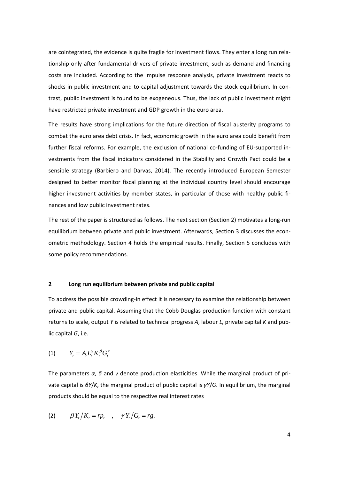are cointegrated, the evidence is quite fragile for investment flows. They enter a long run relationship only after fundamental drivers of private investment, such as demand and financing costs are included. According to the impulse response analysis, private investment reacts to shocks in public investment and to capital adjustment towards the stock equilibrium. In contrast, public investment is found to be exogeneous. Thus, the lack of public investment might have restricted private investment and GDP growth in the euro area.

The results have strong implications for the future direction of fiscal austerity programs to combat the euro area debt crisis. In fact, economic growth in the euro area could benefit from further fiscal reforms. For example, the exclusion of national co-funding of EU-supported investments from the fiscal indicators considered in the Stability and Growth Pact could be a sensible strategy (Barbiero and Darvas, 2014). The recently introduced European Semester designed to better monitor fiscal planning at the individual country level should encourage higher investment activities by member states, in particular of those with healthy public finances and low public investment rates.

The rest of the paper is structured as follows. The next section (Section 2) motivates a long-run equilibrium between private and public investment. Afterwards, Section 3 discusses the econometric methodology. Section 4 holds the empirical results. Finally, Section 5 concludes with some policy recommendations.

#### **2 Long run equilibrium between private and public capital**

To address the possible crowding-in effect it is necessary to examine the relationship between private and public capital. Assuming that the Cobb Douglas production function with constant returns to scale, output *Y* is related to technical progress *A*, labour *L*, private capital *K* and public capital *G*, i.e.

$$
(1) \t Y_t = A_t L_t^{\alpha} K_t^{\beta} G_t^{\gamma}
$$

The parameters *α*, *β* and *γ* denote production elasticities. While the marginal product of private capital is *βY*/*K*, the marginal product of public capital is *γY*/*G*. In equilibrium, the marginal products should be equal to the respective real interest rates

$$
(2) \qquad \beta Y_t/K_t = rp_t \quad , \quad \gamma Y_t/G_t = rg_t
$$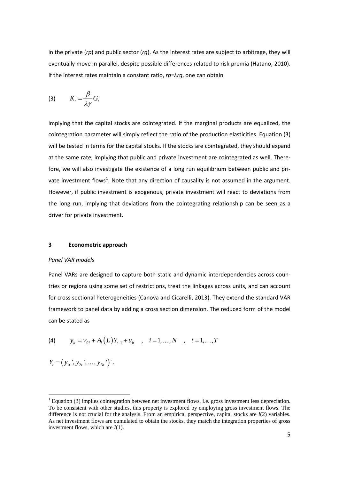in the private (*rp*) and public sector (*rg*). As the interest rates are subject to arbitrage, they will eventually move in parallel, despite possible differences related to risk premia (Hatano, 2010). If the interest rates maintain a constant ratio, *rp*=*λrg*, one can obtain

$$
(3) \qquad K_t = \frac{\beta}{\lambda \gamma} G_t
$$

implying that the capital stocks are cointegrated. If the marginal products are equalized, the cointegration parameter will simply reflect the ratio of the production elasticities. Equation (3) will be tested in terms for the capital stocks. If the stocks are cointegrated, they should expand at the same rate, implying that public and private investment are cointegrated as well. Therefore, we will also investigate the existence of a long run equilibrium between public and private investment flows<sup>1</sup>. Note that any direction of causality is not assumed in the argument. However, if public investment is exogenous, private investment will react to deviations from the long run, implying that deviations from the cointegrating relationship can be seen as a driver for private investment.

#### **3 Econometric approach**

#### *Panel VAR models*

Panel VARs are designed to capture both static and dynamic interdependencies across countries or regions using some set of restrictions, treat the linkages across units, and can account for cross sectional heterogeneities (Canova and Cicarelli, 2013). They extend the standard VAR framework to panel data by adding a cross section dimension. The reduced form of the model can be stated as

(4) 
$$
y_{it} = v_{0i} + A_i(L)Y_{t-1} + u_{it}
$$
,  $i = 1,..., N$ ,  $t = 1,..., T$ 

$$
Y_t = (y_{1t}^{\prime}, y_{2t}^{\prime}, \ldots, y_{Nt}^{\prime})^{\prime}.
$$

<span id="page-6-0"></span> $1$  Equation (3) implies cointegration between net investment flows, i.e. gross investment less depreciation. To be consistent with other studies, this property is explored by employing gross investment flows. The difference is not crucial for the analysis. From an empirical perspective, capital stocks are *I*(2) variables. As net investment flows are cumulated to obtain the stocks, they match the integration properties of gross investment flows, which are *I*(1).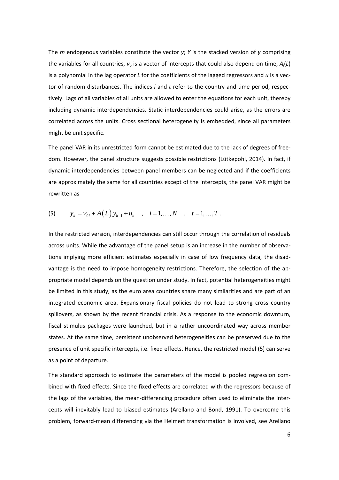The *m* endogenous variables constitute the vector *y*; *Y* is the stacked version of *y* comprising the variables for all countries, *v*<sub>0</sub> is a vector of intercepts that could also depend on time, *A*<sub>i</sub>(*L*) is a polynomial in the lag operator *L* for the coefficients of the lagged regressors and *u* is a vector of random disturbances. The indices *i* and *t* refer to the country and time period, respectively. Lags of all variables of all units are allowed to enter the equations for each unit, thereby including dynamic interdependencies. Static interdependencies could arise, as the errors are correlated across the units. Cross sectional heterogeneity is embedded, since all parameters might be unit specific.

The panel VAR in its unrestricted form cannot be estimated due to the lack of degrees of freedom. However, the panel structure suggests possible restrictions (Lütkepohl, 2014). In fact, if dynamic interdependencies between panel members can be neglected and if the coefficients are approximately the same for all countries except of the intercepts, the panel VAR might be rewritten as

(5) 
$$
y_{it} = v_{0i} + A(L)y_{it-1} + u_{it}
$$
,  $i = 1,..., N$ ,  $t = 1,..., T$ .

In the restricted version, interdependencies can still occur through the correlation of residuals across units. While the advantage of the panel setup is an increase in the number of observations implying more efficient estimates especially in case of low frequency data, the disadvantage is the need to impose homogeneity restrictions. Therefore, the selection of the appropriate model depends on the question under study. In fact, potential heterogeneities might be limited in this study, as the euro area countries share many similarities and are part of an integrated economic area. Expansionary fiscal policies do not lead to strong cross country spillovers, as shown by the recent financial crisis. As a response to the economic downturn, fiscal stimulus packages were launched, but in a rather uncoordinated way across member states. At the same time, persistent unobserved heterogeneities can be preserved due to the presence of unit specific intercepts, i.e. fixed effects. Hence, the restricted model (5) can serve as a point of departure.

The standard approach to estimate the parameters of the model is pooled regression combined with fixed effects. Since the fixed effects are correlated with the regressors because of the lags of the variables, the mean-differencing procedure often used to eliminate the intercepts will inevitably lead to biased estimates (Arellano and Bond, 1991). To overcome this problem, forward-mean differencing via the Helmert transformation is involved, see Arellano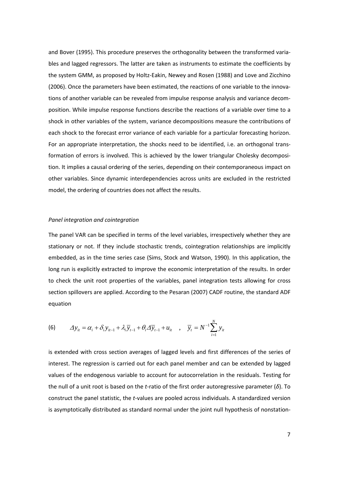and Bover (1995). This procedure preserves the orthogonality between the transformed variables and lagged regressors. The latter are taken as instruments to estimate the coefficients by the system GMM, as proposed by Holtz-Eakin, Newey and Rosen (1988) and Love and Zicchino (2006). Once the parameters have been estimated, the reactions of one variable to the innovations of another variable can be revealed from impulse response analysis and variance decomposition. While impulse response functions describe the reactions of a variable over time to a shock in other variables of the system, variance decompositions measure the contributions of each shock to the forecast error variance of each variable for a particular forecasting horizon. For an appropriate interpretation, the shocks need to be identified, i.e. an orthogonal transformation of errors is involved. This is achieved by the lower triangular Cholesky decomposition. It implies a causal ordering of the series, depending on their contemporaneous impact on other variables. Since dynamic interdependencies across units are excluded in the restricted model, the ordering of countries does not affect the results.

#### *Panel integration and cointegration*

The panel VAR can be specified in terms of the level variables, irrespectively whether they are stationary or not. If they include stochastic trends, cointegration relationships are implicitly embedded, as in the time series case (Sims, Stock and Watson, 1990). In this application, the long run is explicitly extracted to improve the economic interpretation of the results. In order to check the unit root properties of the variables, panel integration tests allowing for cross section spillovers are applied. According to the Pesaran (2007) CADF routine, the standard ADF equation

$$
(6) \qquad \Delta y_{it} = \alpha_i + \delta_i y_{it-1} + \lambda_i \overline{y}_{t-1} + \theta_i \Delta \overline{y}_{t-1} + u_{it} \quad , \quad \overline{y}_t = N^{-1} \sum_{i=1}^N y_{it}
$$

is extended with cross section averages of lagged levels and first differences of the series of interest. The regression is carried out for each panel member and can be extended by lagged values of the endogenous variable to account for autocorrelation in the residuals. Testing for the null of a unit root is based on the *t*-ratio of the first order autoregressive parameter (*δ*). To construct the panel statistic, the *t*-values are pooled across individuals. A standardized version is asymptotically distributed as standard normal under the joint null hypothesis of nonstation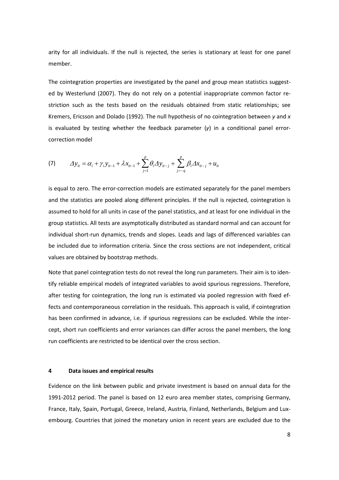arity for all individuals. If the null is rejected, the series is stationary at least for one panel member.

The cointegration properties are investigated by the panel and group mean statistics suggested by Westerlund (2007). They do not rely on a potential inappropriate common factor restriction such as the tests based on the residuals obtained from static relationships; see Kremers, Ericsson and Dolado (1992). The null hypothesis of no cointegration between *y* and *x* is evaluated by testing whether the feedback parameter (*γ*) in a conditional panel errorcorrection model

(7) 
$$
\Delta y_{it} = \alpha_i + \gamma_i y_{it-1} + \lambda x_{it-1} + \sum_{j=1}^p \theta_i \Delta y_{it-j} + \sum_{j=-q}^p \beta_i \Delta x_{it-j} + u_{it}
$$

is equal to zero. The error-correction models are estimated separately for the panel members and the statistics are pooled along different principles. If the null is rejected, cointegration is assumed to hold for all units in case of the panel statistics, and at least for one individual in the group statistics. All tests are asymptotically distributed as standard normal and can account for individual short-run dynamics, trends and slopes. Leads and lags of differenced variables can be included due to information criteria. Since the cross sections are not independent, critical values are obtained by bootstrap methods.

Note that panel cointegration tests do not reveal the long run parameters. Their aim is to identify reliable empirical models of integrated variables to avoid spurious regressions. Therefore, after testing for cointegration, the long run is estimated via pooled regression with fixed effects and contemporaneous correlation in the residuals. This approach is valid, if cointegration has been confirmed in advance, i.e. if spurious regressions can be excluded. While the intercept, short run coefficients and error variances can differ across the panel members, the long run coefficients are restricted to be identical over the cross section.

#### **4 Data issues and empirical results**

Evidence on the link between public and private investment is based on annual data for the 1991-2012 period. The panel is based on 12 euro area member states, comprising Germany, France, Italy, Spain, Portugal, Greece, Ireland, Austria, Finland, Netherlands, Belgium and Luxembourg. Countries that joined the monetary union in recent years are excluded due to the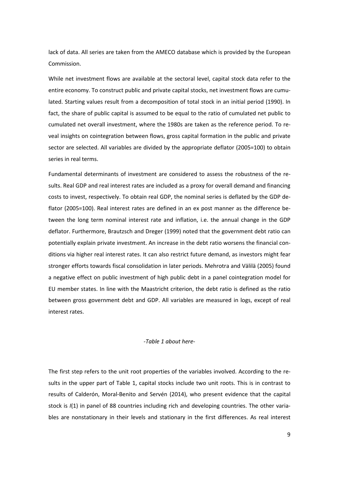lack of data. All series are taken from the AMECO database which is provided by the European Commission.

While net investment flows are available at the sectoral level, capital stock data refer to the entire economy. To construct public and private capital stocks, net investment flows are cumulated. Starting values result from a decomposition of total stock in an initial period (1990). In fact, the share of public capital is assumed to be equal to the ratio of cumulated net public to cumulated net overall investment, where the 1980s are taken as the reference period. To reveal insights on cointegration between flows, gross capital formation in the public and private sector are selected. All variables are divided by the appropriate deflator (2005=100) to obtain series in real terms.

Fundamental determinants of investment are considered to assess the robustness of the results. Real GDP and real interest rates are included as a proxy for overall demand and financing costs to invest, respectively. To obtain real GDP, the nominal series is deflated by the GDP deflator (2005=100). Real interest rates are defined in an ex post manner as the difference between the long term nominal interest rate and inflation, i.e. the annual change in the GDP deflator. Furthermore, Brautzsch and Dreger (1999) noted that the government debt ratio can potentially explain private investment. An increase in the debt ratio worsens the financial conditions via higher real interest rates. It can also restrict future demand, as investors might fear stronger efforts towards fiscal consolidation in later periods. Mehrotra and Välilä (2005) found a negative effect on public investment of high public debt in a panel cointegration model for EU member states. In line with the Maastricht criterion, the debt ratio is defined as the ratio between gross government debt and GDP. All variables are measured in logs, except of real interest rates.

#### *-Table 1 about here-*

The first step refers to the unit root properties of the variables involved. According to the results in the upper part of Table 1, capital stocks include two unit roots. This is in contrast to results of Calderón, Moral-Benito and Servén (2014), who present evidence that the capital stock is *I*(1) in panel of 88 countries including rich and developing countries. The other variables are nonstationary in their levels and stationary in the first differences. As real interest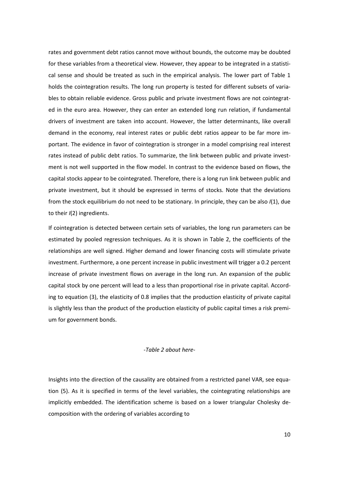rates and government debt ratios cannot move without bounds, the outcome may be doubted for these variables from a theoretical view. However, they appear to be integrated in a statistical sense and should be treated as such in the empirical analysis. The lower part of Table 1 holds the cointegration results. The long run property is tested for different subsets of variables to obtain reliable evidence. Gross public and private investment flows are not cointegrated in the euro area. However, they can enter an extended long run relation, if fundamental drivers of investment are taken into account. However, the latter determinants, like overall demand in the economy, real interest rates or public debt ratios appear to be far more important. The evidence in favor of cointegration is stronger in a model comprising real interest rates instead of public debt ratios. To summarize, the link between public and private investment is not well supported in the flow model. In contrast to the evidence based on flows, the capital stocks appear to be cointegrated. Therefore, there is a long run link between public and private investment, but it should be expressed in terms of stocks. Note that the deviations from the stock equilibrium do not need to be stationary. In principle, they can be also *I*(1), due to their *I*(2) ingredients.

If cointegration is detected between certain sets of variables, the long run parameters can be estimated by pooled regression techniques. As it is shown in Table 2, the coefficients of the relationships are well signed. Higher demand and lower financing costs will stimulate private investment. Furthermore, a one percent increase in public investment will trigger a 0.2 percent increase of private investment flows on average in the long run. An expansion of the public capital stock by one percent will lead to a less than proportional rise in private capital. According to equation (3), the elasticity of 0.8 implies that the production elasticity of private capital is slightly less than the product of the production elasticity of public capital times a risk premium for government bonds.

#### *-Table 2 about here-*

Insights into the direction of the causality are obtained from a restricted panel VAR, see equation (5). As it is specified in terms of the level variables, the cointegrating relationships are implicitly embedded. The identification scheme is based on a lower triangular Cholesky decomposition with the ordering of variables according to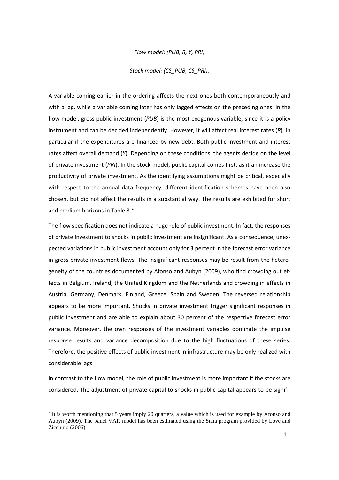*Flow model: (PUB, R, Y, PRI)*

*Stock model: (CS\_PUB, CS\_PRI).*

A variable coming earlier in the ordering affects the next ones both contemporaneously and with a lag, while a variable coming later has only lagged effects on the preceding ones. In the flow model, gross public investment (*PUB*) is the most exogenous variable, since it is a policy instrument and can be decided independently. However, it will affect real interest rates (*R*), in particular if the expenditures are financed by new debt. Both public investment and interest rates affect overall demand (*Y*). Depending on these conditions, the agents decide on the level of private investment (*PRI*). In the stock model, public capital comes first, as it an increase the productivity of private investment. As the identifying assumptions might be critical, especially with respect to the annual data frequency, different identification schemes have been also chosen, but did not affect the results in a substantial way. The results are exhibited for short and medium horizons in Table  $3<sup>2</sup>$  $3<sup>2</sup>$  $3<sup>2</sup>$ 

The flow specification does not indicate a huge role of public investment. In fact, the responses of private investment to shocks in public investment are insignificant. As a consequence, unexpected variations in public investment account only for 3 percent in the forecast error variance in gross private investment flows. The insignificant responses may be result from the heterogeneity of the countries documented by Afonso and Aubyn (2009), who find crowding out effects in Belgium, Ireland, the United Kingdom and the Netherlands and crowding in effects in Austria, Germany, Denmark, Finland, Greece, Spain and Sweden. The reversed relationship appears to be more important. Shocks in private investment trigger significant responses in public investment and are able to explain about 30 percent of the respective forecast error variance. Moreover, the own responses of the investment variables dominate the impulse response results and variance decomposition due to the high fluctuations of these series. Therefore, the positive effects of public investment in infrastructure may be only realized with considerable lags.

In contrast to the flow model, the role of public investment is more important if the stocks are considered. The adjustment of private capital to shocks in public capital appears to be signifi-

<sup>&</sup>lt;sup>2</sup> It is worth mentioning that 5 years imply 20 quarters, a value which is used for example by Afonso and Aubyn (2009). The panel VAR model has been estimated using the Stata program provided by Love and Zicchino (2006).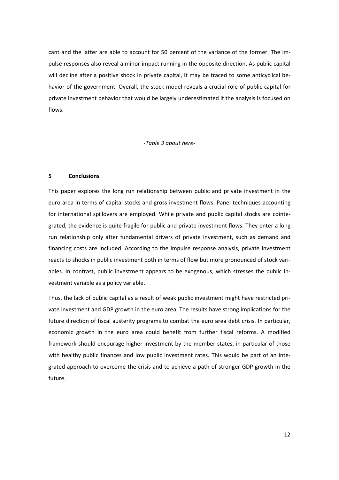cant and the latter are able to account for 50 percent of the variance of the former. The impulse responses also reveal a minor impact running in the opposite direction. As public capital will decline after a positive shock in private capital, it may be traced to some anticyclical behavior of the government. Overall, the stock model reveals a crucial role of public capital for private investment behavior that would be largely underestimated if the analysis is focused on flows.

*-Table 3 about here-*

#### **5 Conclusions**

This paper explores the long run relationship between public and private investment in the euro area in terms of capital stocks and gross investment flows. Panel techniques accounting for international spillovers are employed. While private and public capital stocks are cointegrated, the evidence is quite fragile for public and private investment flows. They enter a long run relationship only after fundamental drivers of private investment, such as demand and financing costs are included. According to the impulse response analysis, private investment reacts to shocks in public investment both in terms of flow but more pronounced of stock variables. In contrast, public investment appears to be exogenous, which stresses the public investment variable as a policy variable.

Thus, the lack of public capital as a result of weak public investment might have restricted private investment and GDP growth in the euro area. The results have strong implications for the future direction of fiscal austerity programs to combat the euro area debt crisis. In particular, economic growth in the euro area could benefit from further fiscal reforms. A modified framework should encourage higher investment by the member states, in particular of those with healthy public finances and low public investment rates. This would be part of an integrated approach to overcome the crisis and to achieve a path of stronger GDP growth in the future.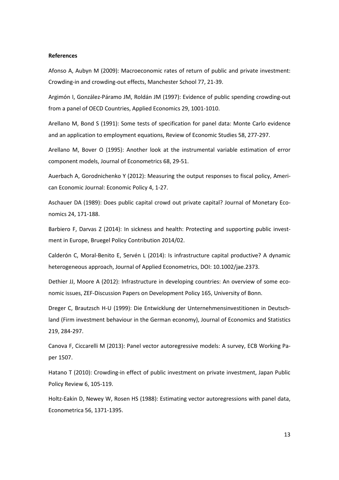#### **References**

Afonso A, Aubyn M (2009): Macroeconomic rates of return of public and private investment: Crowding-in and crowding-out effects, Manchester School 77, 21-39.

Argimón I, González-Páramo JM, Roldán JM (1997): Evidence of public spending crowding-out from a panel of OECD Countries, Applied Economics 29, 1001-1010.

Arellano M, Bond S (1991): Some tests of specification for panel data: Monte Carlo evidence and an application to employment equations, Review of Economic Studies 58, 277-297.

Arellano M, Bover O (1995): Another look at the instrumental variable estimation of error component models, Journal of Econometrics 68, 29-51.

Auerbach A, Gorodnichenko Y (2012): Measuring the output responses to fiscal policy, American Economic Journal: Economic Policy 4, 1-27.

Aschauer DA (1989): Does public capital crowd out private capital? Journal of Monetary Economics 24, 171-188.

Barbiero F, Darvas Z (2014): In sickness and health: Protecting and supporting public investment in Europe, Bruegel Policy Contribution 2014/02.

Calderón C, Moral-Benito E, Servén L (2014): Is infrastructure capital productive? A dynamic heterogeneous approach, Journal of Applied Econometrics, DOI: 10.1002/jae.2373.

Dethier JJ, Moore A (2012): Infrastructure in developing countries: An overview of some economic issues, ZEF-Discussion Papers on Development Policy 165, University of Bonn.

Dreger C, Brautzsch H-U (1999): Die Entwicklung der Unternehmensinvestitionen in Deutschland (Firm investment behaviour in the German economy), Journal of Economics and Statistics 219, 284-297.

Canova F, Ciccarelli M (2013): Panel vector autoregressive models: A survey, ECB Working Paper 1507.

Hatano T (2010): Crowding-in effect of public investment on private investment, Japan Public Policy Review 6, 105-119.

Holtz-Eakin D, Newey W, Rosen HS (1988): Estimating vector autoregressions with panel data, Econometrica 56, 1371-1395.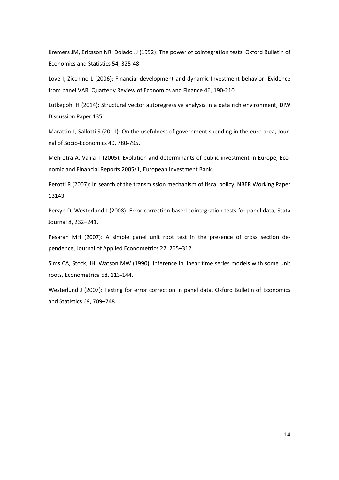Kremers JM, Ericsson NR, Dolado JJ (1992): The power of cointegration tests, Oxford Bulletin of Economics and Statistics 54, 325-48.

Love I, Zicchino L (2006): Financial development and dynamic Investment behavior: Evidence from panel VAR, Quarterly Review of Economics and Finance 46, 190-210.

Lütkepohl H (2014): Structural vector autoregressive analysis in a data rich environment, DIW Discussion Paper 1351.

Marattin L, Sallotti S (2011): On the usefulness of government spending in the euro area, Journal of Socio-Economics 40, 780-795.

Mehrotra A, Välilä T (2005): Evolution and determinants of public investment in Europe, Economic and Financial Reports 2005/1, European Investment Bank.

Perotti R (2007): In search of the transmission mechanism of fiscal policy, NBER Working Paper 13143.

Persyn D, Westerlund J (2008): Error correction based cointegration tests for panel data, Stata Journal 8, 232–241.

Pesaran MH (2007): A simple panel unit root test in the presence of cross section dependence, Journal of Applied Econometrics 22, 265–312.

Sims CA, Stock, JH, Watson MW (1990): Inference in linear time series models with some unit roots, Econometrica 58, 113-144.

Westerlund J (2007): Testing for error correction in panel data, Oxford Bulletin of Economics and Statistics 69, 709–748.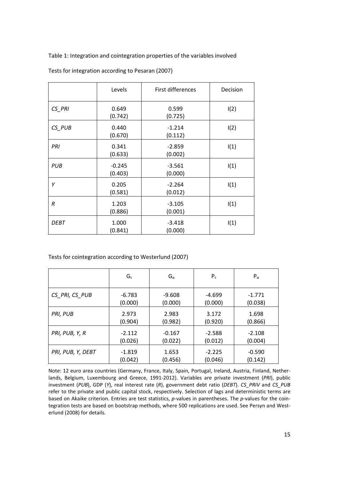Table 1: Integration and cointegration properties of the variables involved

|             | Levels              | First differences   | Decision |
|-------------|---------------------|---------------------|----------|
| CS_PRI      | 0.649<br>(0.742)    | 0.599<br>(0.725)    | I(2)     |
| CS_PUB      | 0.440<br>(0.670)    | $-1.214$<br>(0.112) | I(2)     |
| PRI         | 0.341<br>(0.633)    | $-2.859$<br>(0.002) | I(1)     |
| <b>PUB</b>  | $-0.245$<br>(0.403) | $-3.561$<br>(0.000) | I(1)     |
| Υ           | 0.205<br>(0.581)    | $-2.264$<br>(0.012) | I(1)     |
| R           | 1.203<br>(0.886)    | $-3.105$<br>(0.001) | I(1)     |
| <b>DEBT</b> | 1.000<br>(0.841)    | $-3.418$<br>(0.000) | I(1)     |

Tests for integration according to Pesaran (2007)

Tests for cointegration according to Westerlund (2007)

|                   | $G_{\tau}$ | $G_{\alpha}$ | $P_{\tau}$ | $P_{\alpha}$ |
|-------------------|------------|--------------|------------|--------------|
| CS_PRI, CS_PUB    | $-6.783$   | $-9.608$     | $-4.699$   | $-1.771$     |
|                   | (0.000)    | (0.000)      | (0.000)    | (0.038)      |
| PRI, PUB          | 2.973      | 2.983        | 3.172      | 1.698        |
|                   | (0.904)    | (0.982)      | (0.920)    | (0.866)      |
| PRI, PUB, Y, R    | $-2.112$   | $-0.167$     | $-2.588$   | $-2.108$     |
|                   | (0.026)    | (0.022)      | (0.012)    | (0.004)      |
| PRI, PUB, Y, DEBT | $-1.819$   | 1.653        | $-2.225$   | $-0.590$     |
|                   | (0.042)    | (0.456)      | (0.046)    | (0.142)      |

Note: 12 euro area countries (Germany, France, Italy, Spain, Portugal, Ireland, Austria, Finland, Netherlands, Belgium, Luxembourg and Greece, 1991-2012). Variables are private investment (*PRI*), public investment (*PUB*), GDP (*Y*), real interest rate (*R*), government debt ratio (*DEBT*). *CS\_PRIV* and *CS\_PUB* refer to the private and public capital stock, respectively. Selection of lags and deterministic terms are based on Akaike criterion. Entries are test statistics, *p*-values in parentheses. The *p*-values for the cointegration tests are based on bootstrap methods, where 500 replications are used. See Persyn and Westerlund (2008) for details.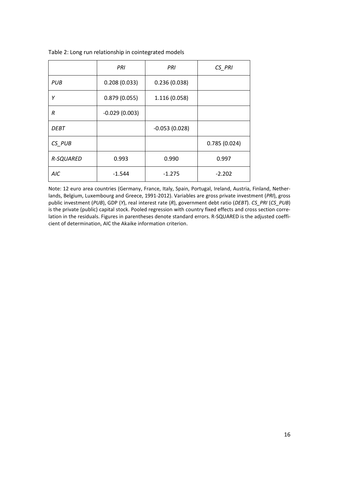|                  | PRI             | PRI             |              |
|------------------|-----------------|-----------------|--------------|
| <b>PUB</b>       | 0.208(0.033)    | 0.236(0.038)    |              |
| Υ                | 0.879(0.055)    | 1.116 (0.058)   |              |
| R                | $-0.029(0.003)$ |                 |              |
| <b>DEBT</b>      |                 | $-0.053(0.028)$ |              |
| $CS_PUB$         |                 |                 | 0.785(0.024) |
| <b>R-SQUARED</b> | 0.993           | 0.990           | 0.997        |
| <b>AIC</b>       | $-1.544$        | $-1.275$        | $-2.202$     |

Table 2: Long run relationship in cointegrated models

Note: 12 euro area countries (Germany, France, Italy, Spain, Portugal, Ireland, Austria, Finland, Netherlands, Belgium, Luxembourg and Greece, 1991-2012). Variables are gross private investment (*PRI*), gross public investment (*PUB*), GDP (*Y*), real interest rate (*R*), government debt ratio (*DEBT*). *CS\_PRI* (*CS\_PUB*) is the private (public) capital stock. Pooled regression with country fixed effects and cross section correlation in the residuals. Figures in parentheses denote standard errors. R-SQUARED is the adjusted coefficient of determination, AIC the Akaike information criterion.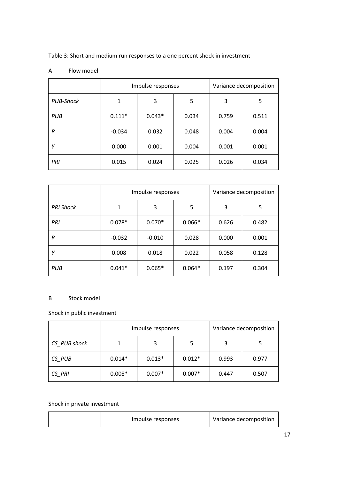Table 3: Short and medium run responses to a one percent shock in investment

|            | Impulse responses |          |       | Variance decomposition |       |
|------------|-------------------|----------|-------|------------------------|-------|
| PUB-Shock  | 1                 | 3        | 5     | 3                      | 5     |
| <b>PUB</b> | $0.111*$          | $0.043*$ | 0.034 | 0.759                  | 0.511 |
| R          | $-0.034$          | 0.032    | 0.048 | 0.004                  | 0.004 |
| Υ          | 0.000             | 0.001    | 0.004 | 0.001                  | 0.001 |
| PRI        | 0.015             | 0.024    | 0.025 | 0.026                  | 0.034 |

### A Flow model

|                  | Impulse responses |          |          | Variance decomposition |       |
|------------------|-------------------|----------|----------|------------------------|-------|
| <b>PRI Shock</b> | 1                 | 3        | 5        | 3                      | 5     |
| PRI              | $0.078*$          | $0.070*$ | $0.066*$ | 0.626                  | 0.482 |
| R                | $-0.032$          | $-0.010$ | 0.028    | 0.000                  | 0.001 |
| v                | 0.008             | 0.018    | 0.022    | 0.058                  | 0.128 |
| <b>PUB</b>       | $0.041*$          | $0.065*$ | $0.064*$ | 0.197                  | 0.304 |

### B Stock model

### Shock in public investment

|              | Impulse responses |          |          |       | Variance decomposition |
|--------------|-------------------|----------|----------|-------|------------------------|
| CS_PUB shock |                   |          |          | 3     |                        |
| CS PUB       | $0.014*$          | $0.013*$ | $0.012*$ | 0.993 | 0.977                  |
| CS PRI       | $0.008*$          | $0.007*$ | $0.007*$ | 0.447 | 0.507                  |

### Shock in private investment

| Impulse responses | Variance decomposition |
|-------------------|------------------------|
|                   |                        |